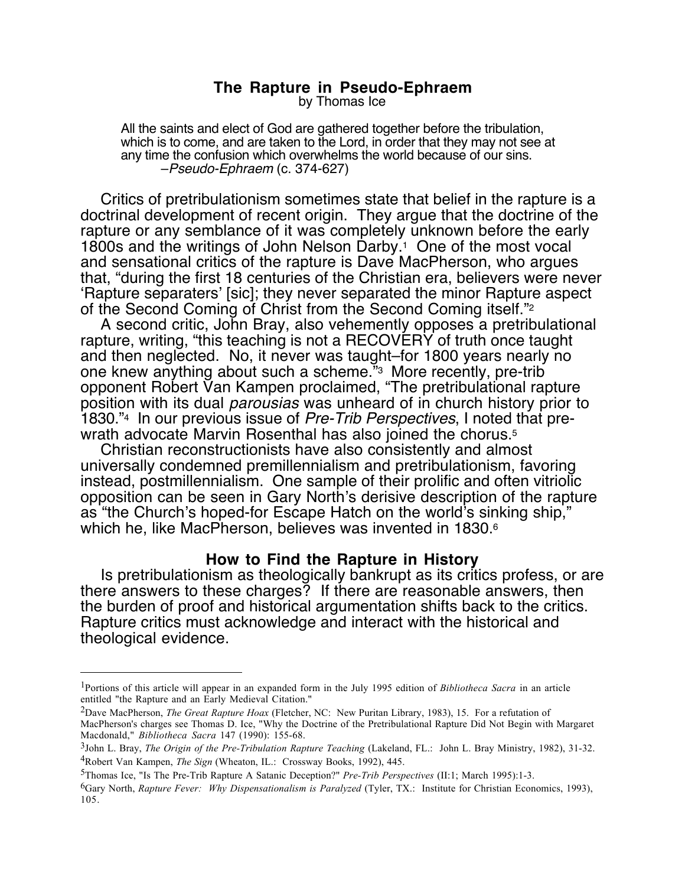# **The Rapture in Pseudo-Ephraem**

by Thomas Ice

All the saints and elect of God are gathered together before the tribulation, which is to come, and are taken to the Lord, in order that they may not see at any time the confusion which overwhelms the world because of our sins.<br>-Pseudo-Ephraem (c. 374-627)

Critics of pretribulationism sometimes state that belief in the rapture is a doctrinal development of recent origin. They argue that the doctrine of the rapture or any semblance of it was completely unknown before the early 1800s and the writings of John Nelson Darby.1 One of the most vocal and sensational critics of the rapture is Dave MacPherson, who argues that, "during the first 18 centuries of the Christian era, believers were never 'Rapture separaters' [sic]; they never separated the minor Rapture aspect of the Second Coming of Christ from the Second Coming itself."2

A second critic, John Bray, also vehemently opposes a pretribulational rapture, writing, "this teaching is not a RECOVERY of truth once taught and then neglected. No, it never was taught–for 1800 years nearly no one knew anything about such a scheme."3 More recently, pre-trib opponent Robert Van Kampen proclaimed, "The pretribulational rapture position with its dual parousias was unheard of in church history prior to 1830."4 In our previous issue of Pre-Trib Perspectives, I noted that prewrath advocate Marvin Rosenthal has also joined the chorus.<sup>5</sup>

Christian reconstructionists have also consistently and almost universally condemned premillennialism and pretribulationism, favoring instead, postmillennialism. One sample of their prolific and often vitriolic opposition can be seen in Gary North's derisive description of the rapture as "the Church's hoped-for Escape Hatch on the world's sinking ship," which he, like MacPherson, believes was invented in 1830.<sup>6</sup>

## **How to Find the Rapture in History**

Is pretribulationism as theologically bankrupt as its critics profess, or are there answers to these charges? If there are reasonable answers, then the burden of proof and historical argumentation shifts back to the critics. Rapture critics must acknowledge and interact with the historical and theological evidence.

<sup>1</sup>Portions of this article will appear in an expanded form in the July 1995 edition of *Bibliotheca Sacra* in an article entitled "the Rapture and an Early Medieval Citation."

<sup>2</sup>Dave MacPherson, *The Great Rapture Hoax* (Fletcher, NC: New Puritan Library, 1983), 15. For a refutation of MacPherson's charges see Thomas D. Ice, "Why the Doctrine of the Pretribulational Rapture Did Not Begin with Margaret Macdonald," *Bibliotheca Sacra* 147 (1990): 155-68.

<sup>3</sup>John L. Bray, *The Origin of the Pre-Tribulation Rapture Teaching* (Lakeland, FL.: John L. Bray Ministry, 1982), 31-32. 4Robert Van Kampen, *The Sign* (Wheaton, IL.: Crossway Books, 1992), 445.

<sup>5</sup>Thomas Ice, "Is The Pre-Trib Rapture A Satanic Deception?" *Pre-Trib Perspectives* (II:1; March 1995):1-3.

<sup>6</sup>Gary North, *Rapture Fever: Why Dispensationalism is Paralyzed* (Tyler, TX.: Institute for Christian Economics, 1993), 105.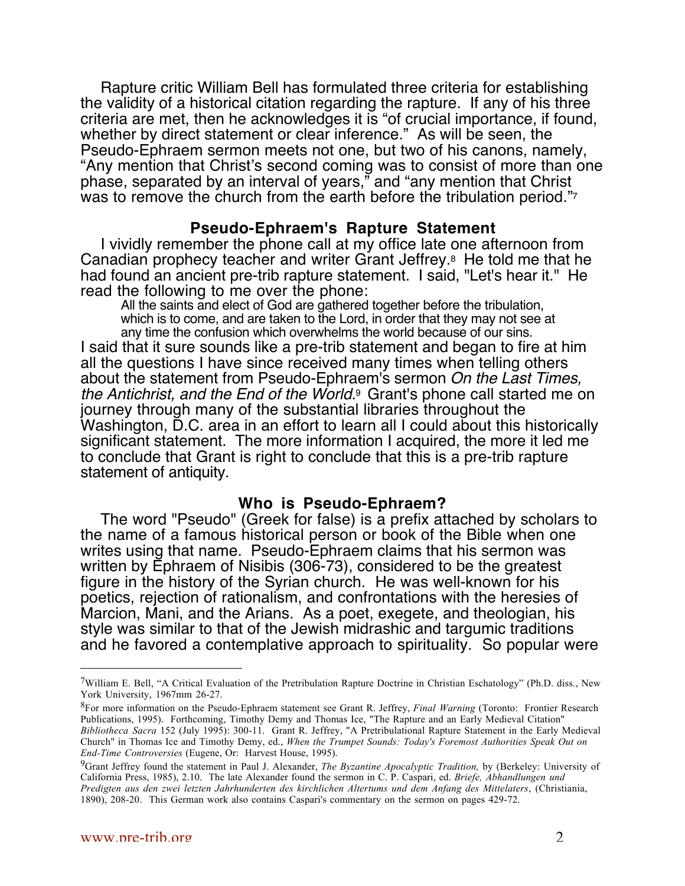Rapture critic William Bell has formulated three criteria for establishing the validity of a historical citation regarding the rapture. If any of his three criteria are met, then he acknowledges it is "of crucial importance, if found, whether by direct statement or clear inference." As will be seen, the Pseudo-Ephraem sermon meets not one, but two of his canons, namely, "Any mention that Christ's second coming was to consist of more than one phase, separated by an interval of years," and "any mention that Christ was to remove the church from the earth before the tribulation period."<sup>7</sup>

### **Pseudo-Ephraem's Rapture Statement**

I vividly remember the phone call at my office late one afternoon from Canadian prophecy teacher and writer Grant Jeffrey.8 He told me that he had found an ancient pre-trib rapture statement. I said, "Let's hear it." He read the following to me over the phone:

All the saints and elect of God are gathered together before the tribulation, which is to come, and are taken to the Lord, in order that they may not see at any time the confusion which overwhelms the world because of our sins.

I said that it sure sounds like a pre-trib statement and began to fire at him all the questions I have since received many times when telling others about the statement from Pseudo-Ephraem's sermon On the Last Times, the Antichrist, and the End of the World.<sup>9</sup> Grant's phone call started me on journey through many of the substantial libraries throughout the Washington, D.C. area in an effort to learn all I could about this historically significant statement. The more information I acquired, the more it led me to conclude that Grant is right to conclude that this is a pre-trib rapture statement of antiquity.

#### **Who is Pseudo-Ephraem?**

The word "Pseudo" (Greek for false) is a prefix attached by scholars to the name of a famous historical person or book of the Bible when one writes using that name. Pseudo-Ephraem claims that his sermon was written by Ephraem of Nisibis (306-73), considered to be the greatest figure in the history of the Syrian church. He was well-known for his poetics, rejection of rationalism, and confrontations with the heresies of Marcion, Mani, and the Arians. As a poet, exegete, and theologian, his style was similar to that of the Jewish midrashic and targumic traditions and he favored a contemplative approach to spirituality. So popular were

 $7$ William E. Bell, "A Critical Evaluation of the Pretribulation Rapture Doctrine in Christian Eschatology" (Ph.D. diss., New York University, 1967mm 26-27.

<sup>8</sup>For more information on the Pseudo-Ephraem statement see Grant R. Jeffrey, *Final Warning* (Toronto: Frontier Research Publications, 1995). Forthcoming, Timothy Demy and Thomas Ice, "The Rapture and an Early Medieval Citation" *Bibliotheca Sacra* 152 (July 1995): 300-11. Grant R. Jeffrey, "A Pretribulational Rapture Statement in the Early Medieval Church" in Thomas Ice and Timothy Demy, ed., *When the Trumpet Sounds: Today's Foremost Authorities Speak Out on End-Time Controversies* (Eugene, Or: Harvest House, 1995).

<sup>9</sup>Grant Jeffrey found the statement in Paul J. Alexander, *The Byzantine Apocalyptic Tradition,* by (Berkeley: University of California Press, 1985), 2.10. The late Alexander found the sermon in C. P. Caspari, ed. *Briefe, Abhandlungen und Predigten aus den zwei letzten Jahrhunderten des kirchlichen Altertums und dem Anfang des Mittelaters*, (Christiania, 1890), 208-20. This German work also contains Caspari's commentary on the sermon on pages 429-72.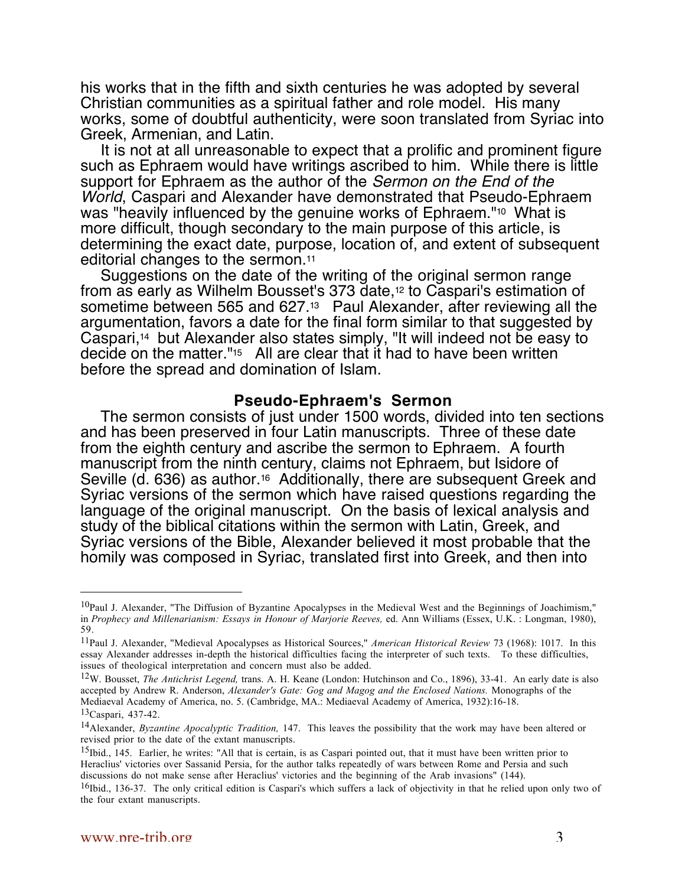his works that in the fifth and sixth centuries he was adopted by several Christian communities as a spiritual father and role model. His many works, some of doubtful authenticity, were soon translated from Syriac into Greek, Armenian, and Latin.

It is not at all unreasonable to expect that a prolific and prominent figure such as Ephraem would have writings ascribed to him. While there is little support for Ephraem as the author of the Sermon on the End of the World, Caspari and Alexander have demonstrated that Pseudo-Ephraem was "heavily influenced by the genuine works of Ephraem."<sup>10</sup> What is more difficult, though secondary to the main purpose of this article, is determining the exact date, purpose, location of, and extent of subsequent editorial changes to the sermon.11

Suggestions on the date of the writing of the original sermon range from as early as Wilhelm Bousset's 373 date,12 to Caspari's estimation of sometime between 565 and 627.13 Paul Alexander, after reviewing all the argumentation, favors a date for the final form similar to that suggested by Caspari,14 but Alexander also states simply, "It will indeed not be easy to decide on the matter."15 All are clear that it had to have been written before the spread and domination of Islam.

#### **Pseudo-Ephraem's Sermon**

The sermon consists of just under 1500 words, divided into ten sections and has been preserved in four Latin manuscripts. Three of these date from the eighth century and ascribe the sermon to Ephraem. A fourth manuscript from the ninth century, claims not Ephraem, but Isidore of Seville (d. 636) as author.16 Additionally, there are subsequent Greek and Syriac versions of the sermon which have raised questions regarding the language of the original manuscript. On the basis of lexical analysis and study of the biblical citations within the sermon with Latin, Greek, and Syriac versions of the Bible, Alexander believed it most probable that the homily was composed in Syriac, translated first into Greek, and then into

12W. Bousset, *The Antichrist Legend,* trans. A. H. Keane (London: Hutchinson and Co., 1896), 33-41. An early date is also accepted by Andrew R. Anderson, *Alexander's Gate: Gog and Magog and the Enclosed Nations.* Monographs of the Mediaeval Academy of America, no. 5. (Cambridge, MA.: Mediaeval Academy of America, 1932):16-18.

<sup>&</sup>lt;sup>10</sup>Paul J. Alexander, "The Diffusion of Byzantine Apocalypses in the Medieval West and the Beginnings of Joachimism," in *Prophecy and Millenarianism: Essays in Honour of Marjorie Reeves,* ed. Ann Williams (Essex, U.K. : Longman, 1980), 59.

<sup>11</sup>Paul J. Alexander, "Medieval Apocalypses as Historical Sources," *American Historical Review* 73 (1968): 1017. In this essay Alexander addresses in-depth the historical difficulties facing the interpreter of such texts. To these difficulties, issues of theological interpretation and concern must also be added.

<sup>13</sup>Caspari, 437-42.

<sup>14</sup>Alexander, *Byzantine Apocalyptic Tradition,* 147. This leaves the possibility that the work may have been altered or revised prior to the date of the extant manuscripts.

 $15$ Ibid., 145. Earlier, he writes: "All that is certain, is as Caspari pointed out, that it must have been written prior to Heraclius' victories over Sassanid Persia, for the author talks repeatedly of wars between Rome and Persia and such discussions do not make sense after Heraclius' victories and the beginning of the Arab invasions" (144).

<sup>&</sup>lt;sup>16</sup>Ibid., 136-37. The only critical edition is Caspari's which suffers a lack of objectivity in that he relied upon only two of the four extant manuscripts.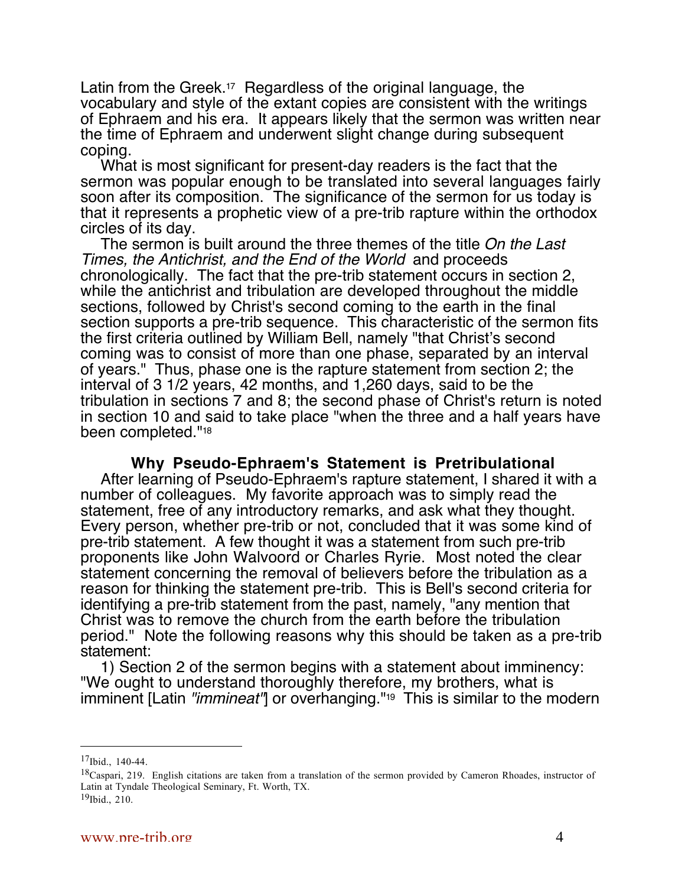Latin from the Greek.<sup>17</sup> Regardless of the original language, the vocabulary and style of the extant copies are consistent with the writings of Ephraem and his era. It appears likely that the sermon was written near the time of Ephraem and underwent slight change during subsequent coping.

What is most significant for present-day readers is the fact that the sermon was popular enough to be translated into several languages fairly soon after its composition. The significance of the sermon for us today is that it represents a prophetic view of a pre-trib rapture within the orthodox circles of its day.

The sermon is built around the three themes of the title On the Last Times, the Antichrist, and the End of the World and proceeds chronologically. The fact that the pre-trib statement occurs in section 2, while the antichrist and tribulation are developed throughout the middle sections, followed by Christ's second coming to the earth in the final section supports a pre-trib sequence. This characteristic of the sermon fits the first criteria outlined by William Bell, namely "that Christ's second coming was to consist of more than one phase, separated by an interval of years." Thus, phase one is the rapture statement from section 2; the interval of 3 1/2 years, 42 months, and 1,260 days, said to be the tribulation in sections 7 and 8; the second phase of Christ's return is noted in section 10 and said to take place "when the three and a half years have been completed."18

## **Why Pseudo-Ephraem's Statement is Pretribulational**

After learning of Pseudo-Ephraem's rapture statement, I shared it with a number of colleagues. My favorite approach was to simply read the statement, free of any introductory remarks, and ask what they thought. Every person, whether pre-trib or not, concluded that it was some kind of pre-trib statement. A few thought it was a statement from such pre-trib proponents like John Walvoord or Charles Ryrie. Most noted the clear statement concerning the removal of believers before the tribulation as a reason for thinking the statement pre-trib. This is Bell's second criteria for identifying a pre-trib statement from the past, namely, "any mention that Christ was to remove the church from the earth before the tribulation period." Note the following reasons why this should be taken as a pre-trib statement:

1) Section 2 of the sermon begins with a statement about imminency: "We ought to understand thoroughly therefore, my brothers, what is imminent [Latin "*immineat*"] or overhanging."<sup>19</sup> This is similar to the modern

 $17$ Ibid., 140-44.

<sup>&</sup>lt;sup>18</sup>Caspari, 219. English citations are taken from a translation of the sermon provided by Cameron Rhoades, instructor of Latin at Tyndale Theological Seminary, Ft. Worth, TX.

 $19$ Ibid., 210.